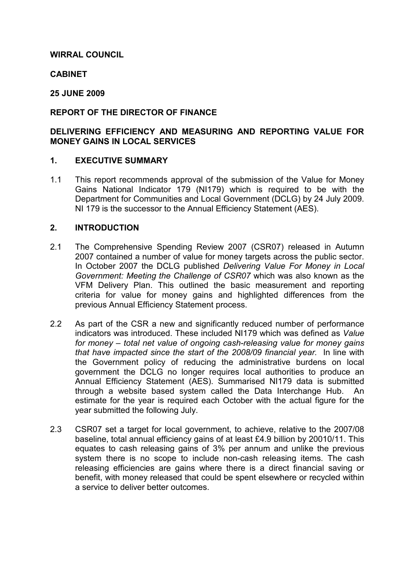# WIRRAL COUNCIL

# **CABINET**

# 25 JUNE 2009

# REPORT OF THE DIRECTOR OF FINANCE

# DELIVERING EFFICIENCY AND MEASURING AND REPORTING VALUE FOR MONEY GAINS IN LOCAL SERVICES

#### 1. EXECUTIVE SUMMARY

1.1 This report recommends approval of the submission of the Value for Money Gains National Indicator 179 (NI179) which is required to be with the Department for Communities and Local Government (DCLG) by 24 July 2009. NI 179 is the successor to the Annual Efficiency Statement (AES).

# 2. INTRODUCTION

- 2.1 The Comprehensive Spending Review 2007 (CSR07) released in Autumn 2007 contained a number of value for money targets across the public sector. In October 2007 the DCLG published Delivering Value For Money in Local Government: Meeting the Challenge of CSR07 which was also known as the VFM Delivery Plan. This outlined the basic measurement and reporting criteria for value for money gains and highlighted differences from the previous Annual Efficiency Statement process.
- 2.2 As part of the CSR a new and significantly reduced number of performance indicators was introduced. These included NI179 which was defined as Value for money – total net value of ongoing cash-releasing value for money gains that have impacted since the start of the 2008/09 financial year. In line with the Government policy of reducing the administrative burdens on local government the DCLG no longer requires local authorities to produce an Annual Efficiency Statement (AES). Summarised NI179 data is submitted through a website based system called the Data Interchange Hub. An estimate for the year is required each October with the actual figure for the year submitted the following July.
- 2.3 CSR07 set a target for local government, to achieve, relative to the 2007/08 baseline, total annual efficiency gains of at least £4.9 billion by 20010/11. This equates to cash releasing gains of 3% per annum and unlike the previous system there is no scope to include non-cash releasing items. The cash releasing efficiencies are gains where there is a direct financial saving or benefit, with money released that could be spent elsewhere or recycled within a service to deliver better outcomes.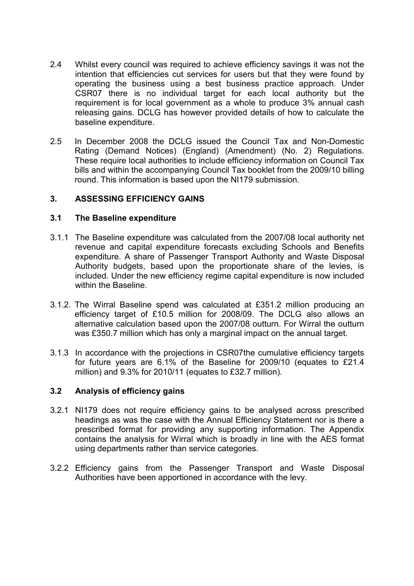- 2.4 Whilst every council was required to achieve efficiency savings it was not the intention that efficiencies cut services for users but that they were found by operating the business using a best business practice approach. Under CSR07 there is no individual target for each local authority but the requirement is for local government as a whole to produce 3% annual cash releasing gains. DCLG has however provided details of how to calculate the baseline expenditure.
- 2.5 In December 2008 the DCLG issued the Council Tax and Non-Domestic Rating (Demand Notices) (England) (Amendment) (No. 2) Regulations. These require local authorities to include efficiency information on Council Tax bills and within the accompanying Council Tax booklet from the 2009/10 billing round. This information is based upon the NI179 submission.

# 3. ASSESSING EFFICIENCY GAINS

### 3.1 The Baseline expenditure

- 3.1.1 The Baseline expenditure was calculated from the 2007/08 local authority net revenue and capital expenditure forecasts excluding Schools and Benefits expenditure. A share of Passenger Transport Authority and Waste Disposal Authority budgets, based upon the proportionate share of the levies, is included. Under the new efficiency regime capital expenditure is now included within the Baseline.
- 3.1.2. The Wirral Baseline spend was calculated at £351.2 million producing an efficiency target of £10.5 million for 2008/09. The DCLG also allows an alternative calculation based upon the 2007/08 outturn. For Wirral the outturn was £350.7 million which has only a marginal impact on the annual target.
- 3.1.3 In accordance with the projections in CSR07the cumulative efficiency targets for future years are 6.1% of the Baseline for 2009/10 (equates to £21.4 million) and 9.3% for 2010/11 (equates to £32.7 million).

### 3.2 Analysis of efficiency gains

- 3.2.1 NI179 does not require efficiency gains to be analysed across prescribed headings as was the case with the Annual Efficiency Statement nor is there a prescribed format for providing any supporting information. The Appendix contains the analysis for Wirral which is broadly in line with the AES format using departments rather than service categories.
- 3.2.2 Efficiency gains from the Passenger Transport and Waste Disposal Authorities have been apportioned in accordance with the levy.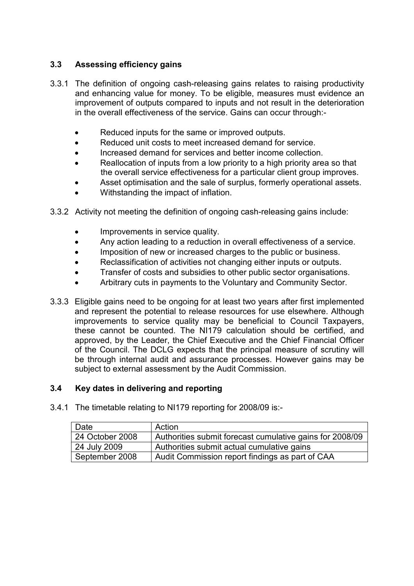# 3.3 Assessing efficiency gains

- 3.3.1 The definition of ongoing cash-releasing gains relates to raising productivity and enhancing value for money. To be eligible, measures must evidence an improvement of outputs compared to inputs and not result in the deterioration in the overall effectiveness of the service. Gains can occur through:-
	- Reduced inputs for the same or improved outputs.
	- Reduced unit costs to meet increased demand for service.
	- Increased demand for services and better income collection.
	- Reallocation of inputs from a low priority to a high priority area so that the overall service effectiveness for a particular client group improves.
	- Asset optimisation and the sale of surplus, formerly operational assets.
	- Withstanding the impact of inflation.
- 3.3.2 Activity not meeting the definition of ongoing cash-releasing gains include:
	- Improvements in service quality.
	- Any action leading to a reduction in overall effectiveness of a service.
	- Imposition of new or increased charges to the public or business.
	- Reclassification of activities not changing either inputs or outputs.
	- Transfer of costs and subsidies to other public sector organisations.
	- Arbitrary cuts in payments to the Voluntary and Community Sector.
- 3.3.3 Eligible gains need to be ongoing for at least two years after first implemented and represent the potential to release resources for use elsewhere. Although improvements to service quality may be beneficial to Council Taxpayers, these cannot be counted. The NI179 calculation should be certified, and approved, by the Leader, the Chief Executive and the Chief Financial Officer of the Council. The DCLG expects that the principal measure of scrutiny will be through internal audit and assurance processes. However gains may be subject to external assessment by the Audit Commission.

### 3.4 Key dates in delivering and reporting

3.4.1 The timetable relating to NI179 reporting for 2008/09 is:-

| Date            | Action                                                   |
|-----------------|----------------------------------------------------------|
| 24 October 2008 | Authorities submit forecast cumulative gains for 2008/09 |
| 24 July 2009    | Authorities submit actual cumulative gains               |
| September 2008  | Audit Commission report findings as part of CAA          |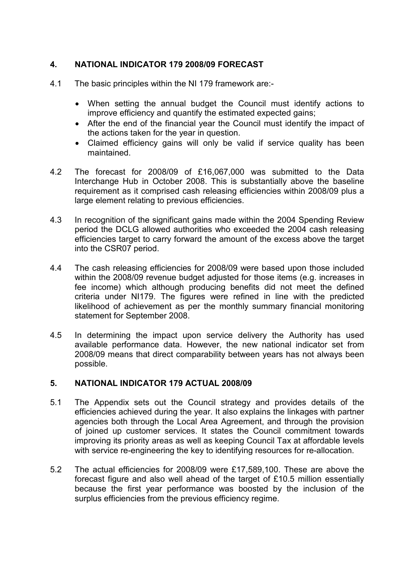# 4. NATIONAL INDICATOR 179 2008/09 FORECAST

- 4.1 The basic principles within the NI 179 framework are:-
	- When setting the annual budget the Council must identify actions to improve efficiency and quantify the estimated expected gains;
	- After the end of the financial year the Council must identify the impact of the actions taken for the year in question.
	- Claimed efficiency gains will only be valid if service quality has been maintained.
- 4.2 The forecast for 2008/09 of £16,067,000 was submitted to the Data Interchange Hub in October 2008. This is substantially above the baseline requirement as it comprised cash releasing efficiencies within 2008/09 plus a large element relating to previous efficiencies.
- 4.3 In recognition of the significant gains made within the 2004 Spending Review period the DCLG allowed authorities who exceeded the 2004 cash releasing efficiencies target to carry forward the amount of the excess above the target into the CSR07 period.
- 4.4 The cash releasing efficiencies for 2008/09 were based upon those included within the 2008/09 revenue budget adjusted for those items (e.g. increases in fee income) which although producing benefits did not meet the defined criteria under NI179. The figures were refined in line with the predicted likelihood of achievement as per the monthly summary financial monitoring statement for September 2008.
- 4.5 In determining the impact upon service delivery the Authority has used available performance data. However, the new national indicator set from 2008/09 means that direct comparability between years has not always been possible.

### 5. NATIONAL INDICATOR 179 ACTUAL 2008/09

- 5.1 The Appendix sets out the Council strategy and provides details of the efficiencies achieved during the year. It also explains the linkages with partner agencies both through the Local Area Agreement, and through the provision of joined up customer services. It states the Council commitment towards improving its priority areas as well as keeping Council Tax at affordable levels with service re-engineering the key to identifying resources for re-allocation.
- 5.2 The actual efficiencies for 2008/09 were £17,589,100. These are above the forecast figure and also well ahead of the target of £10.5 million essentially because the first year performance was boosted by the inclusion of the surplus efficiencies from the previous efficiency regime.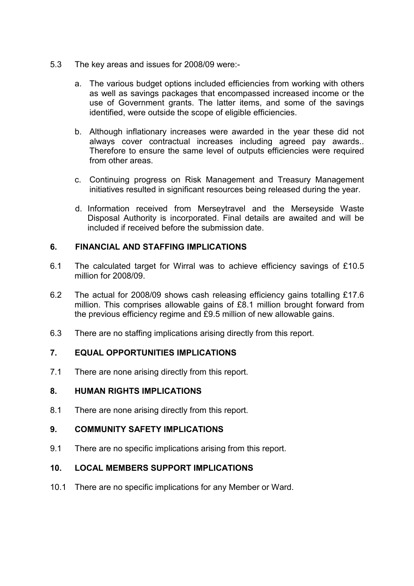- 5.3 The key areas and issues for 2008/09 were:
	- a. The various budget options included efficiencies from working with others as well as savings packages that encompassed increased income or the use of Government grants. The latter items, and some of the savings identified, were outside the scope of eligible efficiencies.
	- b. Although inflationary increases were awarded in the year these did not always cover contractual increases including agreed pay awards.. Therefore to ensure the same level of outputs efficiencies were required from other areas.
	- c. Continuing progress on Risk Management and Treasury Management initiatives resulted in significant resources being released during the year.
	- d. Information received from Merseytravel and the Merseyside Waste Disposal Authority is incorporated. Final details are awaited and will be included if received before the submission date.

# 6. FINANCIAL AND STAFFING IMPLICATIONS

- 6.1 The calculated target for Wirral was to achieve efficiency savings of £10.5 million for 2008/09.
- 6.2 The actual for 2008/09 shows cash releasing efficiency gains totalling £17.6 million. This comprises allowable gains of £8.1 million brought forward from the previous efficiency regime and £9.5 million of new allowable gains.
- 6.3 There are no staffing implications arising directly from this report.

### 7. EQUAL OPPORTUNITIES IMPLICATIONS

7.1 There are none arising directly from this report.

### 8. HUMAN RIGHTS IMPLICATIONS

8.1 There are none arising directly from this report.

# 9. COMMUNITY SAFETY IMPLICATIONS

9.1 There are no specific implications arising from this report.

### 10. LOCAL MEMBERS SUPPORT IMPLICATIONS

10.1 There are no specific implications for any Member or Ward.